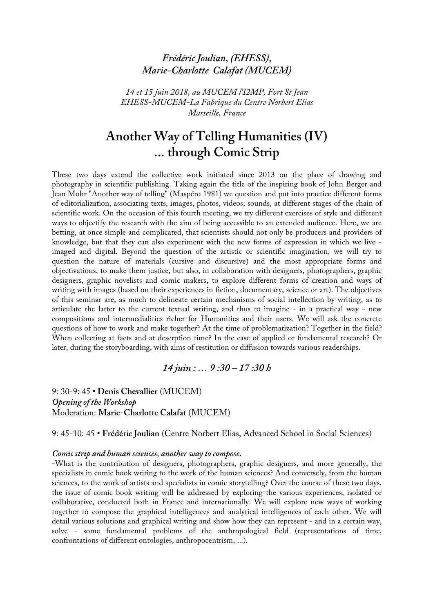# *Frédéric Joulian, (EHESS), Marie-Charlotte Calafat (MUCEM)*

*14 et 15 juin 2018, au MUCEM l'I2MP, Fort St Jean EHESS-MUCEM-La Fabrique du Centre Norbert Elias Marseille, France*

# **Another Way of Telling Humanities (IV) ... through Comic Strip**

These two days extend the collective work initiated since 2013 on the place of drawing and photography in scientific publishing. Taking again the title of the inspiring book of John Berger and Jean Mohr "Another way of telling" (Maspéro 1981) we question and put into practice different forms of editorialization, associating texts, images, photos, videos, sounds, at different stages of the chain of scientific work. On the occasion of this fourth meeting, we try different exercises of style and different ways to objectify the research with the aim of being accessible to an extended audience. Here, we are betting, at once simple and complicated, that scientists should not only be producers and providers of knowledge, but that they can also experiment with the new forms of expression in which we live imaged and digital. Beyond the question of the artistic or scientific imagination, we will try to question the nature of materials (cursive and discursive) and the most appropriate forms and objectivations, to make them justice, but also, in collaboration with designers, photographers, graphic designers, graphic novelists and comic makers, to explore different forms of creation and ways of writing with images (based on their experiences in fiction, documentary, science or art). The objectives of this seminar are, as much to delineate certain mechanisms of social intellection by writing, as to articulate the latter to the current textual writing, and thus to imagine - in a practical way - new compositions and intermedialities richer for Humanities and their users. We will ask the concrete questions of how to work and make together? At the time of problematization? Together in the field? When collecting at facts and at descrption time? In the case of applied or fundamental research? Or later, during the storyboarding, with aims of restitution or diffusion towards various readerships.

### *14 juin : … 9 :30 – 17 :30 h*

9: 30-9: 45 **• Denis Chevallier** (MUCEM) *Opening of the Workshop* Moderation: **Marie-Charlotte Calafat** (MUCEM)

9: 45-10: 45 • **Frédéric Joulian** (Centre Norbert Elias, Advanced School in Social Sciences)

#### *Comic strip and human sciences, another way to compose.*

-What is the contribution of designers, photographers, graphic designers, and more generally, the specialists in comic book writing to the work of the human sciences? And conversely, from the human sciences, to the work of artists and specialists in comic storytelling? Over the course of these two days, the issue of comic book writing will be addressed by exploring the various experiences, isolated or collaborative, conducted both in France and internationally. We will explore new ways of working together to compose the graphical intelligences and analytical intelligences of each other. We will detail various solutions and graphical writing and show how they can represent - and in a certain way, solve - some fundamental problems of the anthropological field (representations of time, confrontations of different ontologies, anthropocentrism, ...).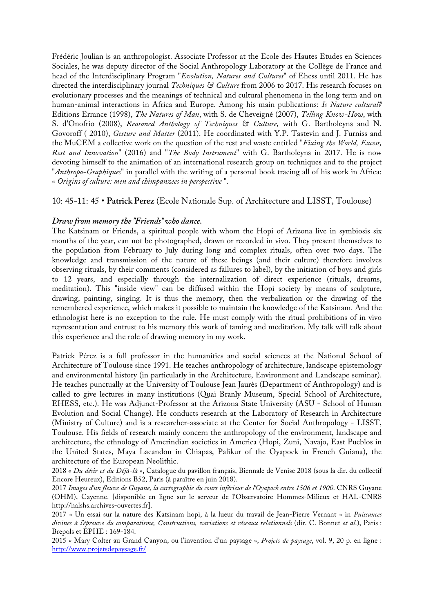Frédéric Joulian is an anthropologist. Associate Professor at the Ecole des Hautes Etudes en Sciences Sociales, he was deputy director of the Social Anthropology Laboratory at the Collège de France and head of the Interdisciplinary Program "*Evolution, Natures and Cultures*" of Ehess until 2011. He has directed the interdisciplinary journal *Techniques & Culture* from 2006 to 2017. His research focuses on evolutionary processes and the meanings of technical and cultural phenomena in the long term and on human-animal interactions in Africa and Europe. Among his main publications: *Is Nature cultural?* Editions Errance (1998), *The Natures of Man*, with S. de Cheveigné (2007), *Telling Know-How*, with S. d'Onofrio (2008), *Reasoned Anthology of Techniques & Culture,* with G. Bartholeyns and N. Govoroff ( 2010), *Gesture and Matter* (2011). He coordinated with Y.P. Tastevin and J. Furniss and the MuCEM a collective work on the question of the rest and waste entitled "*Fixing the World, Excess, Rest and Innovation*" (2016) and "*The Body Instrument*" with G. Bartholeyns in 2017. He is now devoting himself to the animation of an international research group on techniques and to the project "*Anthropo-Graphiques*" in parallel with the writing of a personal book tracing all of his work in Africa: « *Origins of culture: men and chimpanzees in perspective* ".

# 10: 45-11: 45 • **Patrick Perez** (Ecole Nationale Sup. of Architecture and LISST, Toulouse)

# *Draw from memory the "Friends" who dance.*

The Katsinam or Friends, a spiritual people with whom the Hopi of Arizona live in symbiosis six months of the year, can not be photographed, drawn or recorded in vivo. They present themselves to the population from February to July during long and complex rituals, often over two days. The knowledge and transmission of the nature of these beings (and their culture) therefore involves observing rituals, by their comments (considered as failures to label), by the initiation of boys and girls to 12 years, and especially through the internalization of direct experience (rituals, dreams, meditation). This "inside view" can be diffused within the Hopi society by means of sculpture, drawing, painting, singing. It is thus the memory, then the verbalization or the drawing of the remembered experience, which makes it possible to maintain the knowledge of the Katsinam. And the ethnologist here is no exception to the rule. He must comply with the ritual prohibitions of in vivo representation and entrust to his memory this work of taming and meditation. My talk will talk about this experience and the role of drawing memory in my work.

Patrick Pérez is a full professor in the humanities and social sciences at the National School of Architecture of Toulouse since 1991. He teaches anthropology of architecture, landscape epistemology and environmental history (in particularly in the Architecture, Environment and Landscape seminar). He teaches punctually at the University of Toulouse Jean Jaurès (Department of Anthropology) and is called to give lectures in many institutions (Quai Branly Museum, Special School of Architecture, EHESS, etc.). He was Adjunct-Professor at the Arizona State University (ASU - School of Human Evolution and Social Change). He conducts research at the Laboratory of Research in Architecture (Ministry of Culture) and is a researcher-associate at the Center for Social Anthropology - LISST, Toulouse. His fields of research mainly concern the anthropology of the environment, landscape and architecture, the ethnology of Amerindian societies in America (Hopi, Zuni, Navajo, East Pueblos in the United States, Maya Lacandon in Chiapas, Palikur of the Oyapock in French Guiana), the architecture of the European Neolithic.

2018 « *Du désir et du Déjà-là* », Catalogue du pavillon français, Biennale de Venise 2018 (sous la dir. du collectif Encore Heureux), Editions B52, Paris (à paraître en juin 2018).

2017 *Images d'un fleuve de Guyane, la cartographie du cours inférieur de l'Oyapock entre 1506 et 1900*. CNRS Guyane (OHM), Cayenne. [disponible en ligne sur le serveur de l'Observatoire Hommes-Milieux et HAL-CNRS http://halshs.archives-ouvertes.fr].

2017 « Un essai sur la nature des Katsinam hopi, à la lueur du travail de Jean-Pierre Vernant » in *Puissances divines à l'épreuve du comparatisme, Constructions, variations et réseaux relationnels* (dir. C. Bonnet *et al*.), Paris : Brepols et EPHE : 169-184.

2015 « Mary Colter au Grand Canyon, ou l'invention d'un paysage », *Projets de paysage*, vol. 9, 20 p. en ligne : http://www.projetsdepaysage.fr/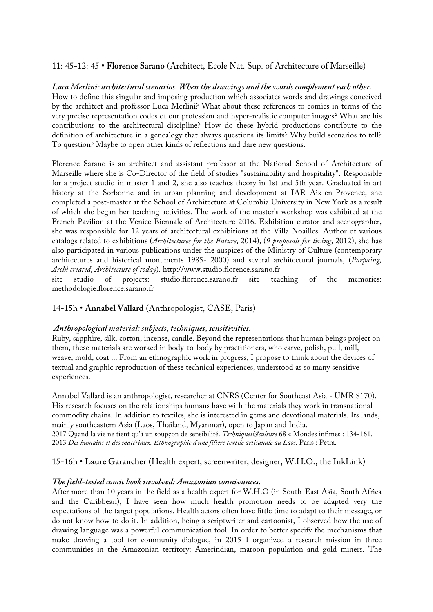# 11: 45-12: 45 • **Florence Sarano** (Architect, Ecole Nat. Sup. of Architecture of Marseille)

### *Luca Merlini: architectural scenarios. When the drawings and the words complement each other.*

How to define this singular and imposing production which associates words and drawings conceived by the architect and professor Luca Merlini? What about these references to comics in terms of the very precise representation codes of our profession and hyper-realistic computer images? What are his contributions to the architectural discipline? How do these hybrid productions contribute to the definition of architecture in a genealogy that always questions its limits? Why build scenarios to tell? To question? Maybe to open other kinds of reflections and dare new questions.

Florence Sarano is an architect and assistant professor at the National School of Architecture of Marseille where she is Co-Director of the field of studies "sustainability and hospitality". Responsible for a project studio in master 1 and 2, she also teaches theory in 1st and 5th year. Graduated in art history at the Sorbonne and in urban planning and development at IAR Aix-en-Provence, she completed a post-master at the School of Architecture at Columbia University in New York as a result of which she began her teaching activities. The work of the master's workshop was exhibited at the French Pavilion at the Venice Biennale of Architecture 2016. Exhibition curator and scenographer, she was responsible for 12 years of architectural exhibitions at the Villa Noailles. Author of various catalogs related to exhibitions (*Architectures for the Future*, 2014), (*9 proposals for living*, 2012), she has also participated in various publications under the auspices of the Ministry of Culture (contemporary architectures and historical monuments 1985- 2000) and several architectural journals, (*Parpaing, Archi created, Architecture of today*). http://www.studio.florence.sarano.fr

site studio of projects: studio.florence.sarano.fr site teaching of the memories: methodologie.florence.sarano.fr

### 14-15h • **Annabel Vallard** (Anthropologist, CASE, Paris)

### *Anthropological material: subjects, techniques, sensitivities.*

Ruby, sapphire, silk, cotton, incense, candle. Beyond the representations that human beings project on them, these materials are worked in body-to-body by practitioners, who carve, polish, pull, mill, weave, mold, coat ... From an ethnographic work in progress, I propose to think about the devices of textual and graphic reproduction of these technical experiences, understood as so many sensitive experiences.

Annabel Vallard is an anthropologist, researcher at CNRS (Center for Southeast Asia - UMR 8170). His research focuses on the relationships humans have with the materials they work in transnational commodity chains. In addition to textiles, she is interested in gems and devotional materials. Its lands, mainly southeastern Asia (Laos, Thailand, Myanmar), open to Japan and India. 2017 Quand la vie ne tient qu'à un soupçon de sensibilité. *Techniques&culture* 68 « Mondes infimes : 134-161. 2013 *Des humains et des matériaux. Ethnographie d'une filière textile artisanale au Laos*. Paris : Petra.

### 15-16h • **Laure Garancher** (Health expert, screenwriter, designer, W.H.O., the InkLink)

### *The field-tested comic book involved: Amazonian connivances.*

After more than 10 years in the field as a health expert for W.H.O (in South-East Asia, South Africa and the Caribbean), I have seen how much health promotion needs to be adapted very the expectations of the target populations. Health actors often have little time to adapt to their message, or do not know how to do it. In addition, being a scriptwriter and cartoonist, I observed how the use of drawing language was a powerful communication tool. In order to better specify the mechanisms that make drawing a tool for community dialogue, in 2015 I organized a research mission in three communities in the Amazonian territory: Amerindian, maroon population and gold miners. The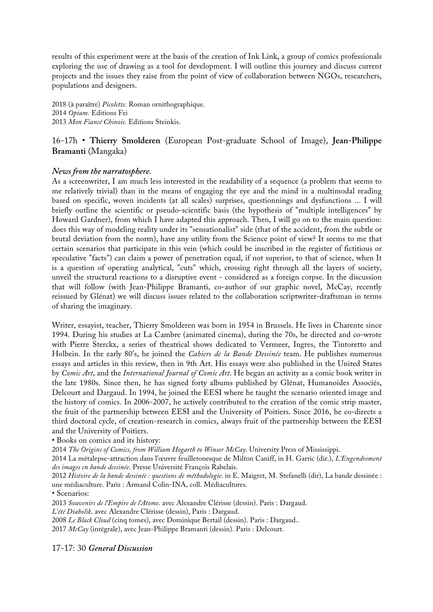results of this experiment were at the basis of the creation of Ink Link, a group of comics professionals exploring the use of drawing as a tool for development. I will outline this journey and discuss current projects and the issues they raise from the point of view of collaboration between NGOs, researchers, populations and designers.

2018 (à paraître) *Picolette.* Roman ornithographique. 2014 *Opium.* Editions Fei 2013 *Mon Fiancé Chinois.* Editions Steinkis.

16-17h • **Thierry Smolderen** (European Post-graduate School of Image), **Jean-Philippe Bramanti** (Mangaka)

# *News from the narratosphere.*

As a screenwriter, I am much less interested in the readability of a sequence (a problem that seems to me relatively trivial) than in the means of engaging the eye and the mind in a multimodal reading based on specific, woven incidents (at all scales) surprises, questionnings and dysfunctions ... I will briefly outline the scientific or pseudo-scientific basis (the hypothesis of "multiple intelligences" by Howard Gardner), from which I have adapted this approach. Then, I will go on to the main question: does this way of modeling reality under its "sensationalist" side (that of the accident, from the subtle or brutal deviation from the norm), have any utility from the Science point of view? It seems to me that certain scenarios that participate in this vein (which could be inscribed in the register of fictitious or speculative "facts") can claim a power of penetration equal, if not superior, to that of science, when It is a question of operating analytical, "cuts" which, crossing right through all the layers of society, unveil the structural reactions to a disruptive event - considered as a foreign corpse. In the discussion that will follow (with Jean-Philippe Bramanti, co-author of our graphic novel, McCay, recently reissued by Glénat) we will discuss issues related to the collaboration scriptwriter-draftsman in terms of sharing the imaginary.

Writer, essayist, teacher, Thierry Smolderen was born in 1954 in Brussels. He lives in Charente since 1994. During his studies at La Cambre (animated cinema), during the 70s, he directed and co-wrote with Pierre Sterckx, a series of theatrical shows dedicated to Vermeer, Ingres, the Tintoretto and Holbein. In the early 80's, he joined the *Cahiers de la Bande Dessinée* team. He publishes numerous essays and articles in this review, then in 9th Art. His essays were also published in the United States by *Comic Art*, and the *International Journal of Comic Art*. He began an activity as a comic book writer in the late 1980s. Since then, he has signed forty albums published by Glénat, Humanoïdes Associés, Delcourt and Dargaud. In 1994, he joined the EESI where he taught the scenario oriented image and the history of comics. In 2006-2007, he actively contributed to the creation of the comic strip master, the fruit of the partnership between EESI and the University of Poitiers. Since 2016, he co-directs a third doctoral cycle, of creation-research in comics, always fruit of the partnership between the EESI and the University of Poitiers.

• Books on comics and its history:

2014 *The Origins of Comics, from William Hogarth to Winsor McCay*. University Press of Mississippi.

2014 La métalepse-attraction dans l'œuvre feuilletonesque de Milton Caniff, in H. Garric (dir.), *L'Engendrement des images en bande dessinée*. Presse Université François Rabelais.

2012 *Histoire de la bande dessinée : questions de méthodologie*. in E. Maigret, M. Stefanelli (dir), La bande dessinée : une médiaculture. Paris : Armand Colin-INA, coll. Médiacultures.

• Scenarios:

2013 *Souvenirs de l'Empire de l'Atome*. avec Alexandre Clérisse (dessin). Paris : Dargaud.

*L'été Diabolik*. avec Alexandre Clérisse (dessin), Paris : Dargaud.

2008 *Le Black Cloud* (cinq tomes), avec Dominique Bertail (dessin). Paris : Dargaud..

2017 *McCay* (intégrale), avec Jean-Philippe Bramanti (dessin). Paris : Delcourt.

17-17: 30 *General Discussion*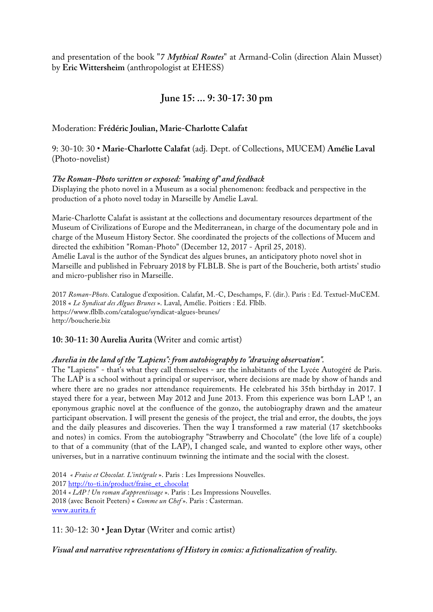and presentation of the book "*7 Mythical Routes*" at Armand-Colin (direction Alain Musset) by **Eric Wittersheim** (anthropologist at EHESS)

# **June 15: ... 9: 30-17: 30 pm**

# Moderation: **Frédéric Joulian, Marie-Charlotte Calafat**

9: 30-10: 30 • **Marie-Charlotte Calafat** (adj. Dept. of Collections, MUCEM) **Amélie Laval** (Photo-novelist)

# *The Roman-Photo written or exposed: "making of" and feedback*

Displaying the photo novel in a Museum as a social phenomenon: feedback and perspective in the production of a photo novel today in Marseille by Amélie Laval.

Marie-Charlotte Calafat is assistant at the collections and documentary resources department of the Museum of Civilizations of Europe and the Mediterranean, in charge of the documentary pole and in charge of the Museum History Sector. She coordinated the projects of the collections of Mucem and directed the exhibition "Roman-Photo" (December 12, 2017 - April 25, 2018). Amélie Laval is the author of the Syndicat des algues brunes, an anticipatory photo novel shot in Marseille and published in February 2018 by FLBLB. She is part of the Boucherie, both artists' studio and micro-publisher riso in Marseille.

2017 *Roman-Photo*. Catalogue d'exposition. Calafat, M.-C, Deschamps, F. (dir.). Paris : Ed. Textuel-MuCEM. 2018 « *Le Syndicat des Algues Brunes* ». Laval, Amélie. Poitiers : Ed. Flblb. https://www.flblb.com/catalogue/syndicat-algues-brunes/ http://boucherie.biz

# **10: 30-11: 30 Aurelia Aurita** (Writer and comic artist)

# *Aurelia in the land of the "Lapiens": from autobiography to "drawing observation".*

The "Lapiens" - that's what they call themselves - are the inhabitants of the Lycée Autogéré de Paris. The LAP is a school without a principal or supervisor, where decisions are made by show of hands and where there are no grades nor attendance requirements. He celebrated his 35th birthday in 2017. I stayed there for a year, between May 2012 and June 2013. From this experience was born LAP !, an eponymous graphic novel at the confluence of the gonzo, the autobiography drawn and the amateur participant observation. I will present the genesis of the project, the trial and error, the doubts, the joys and the daily pleasures and discoveries. Then the way I transformed a raw material (17 sketchbooks and notes) in comics. From the autobiography "Strawberry and Chocolate" (the love life of a couple) to that of a community (that of the LAP), I changed scale, and wanted to explore other ways, other universes, but in a narrative continuum twinning the intimate and the social with the closest.

2014 *« Fraise et Chocolat. L'intégrale* ». Paris : Les Impressions Nouvelles. 2017 http://to-ti.in/product/fraise\_et\_chocolat 2014 *« LAP ! Un roman d'apprentissage* ». Paris : Les Impressions Nouvelles. 2018 (avec Benoit Peeters) « *Comme un Chef* ». Paris : Casterman. www.aurita.fr

11: 30-12: 30 • **Jean Dytar** (Writer and comic artist)

*Visual and narrative representations of History in comics: a fictionalization of reality.*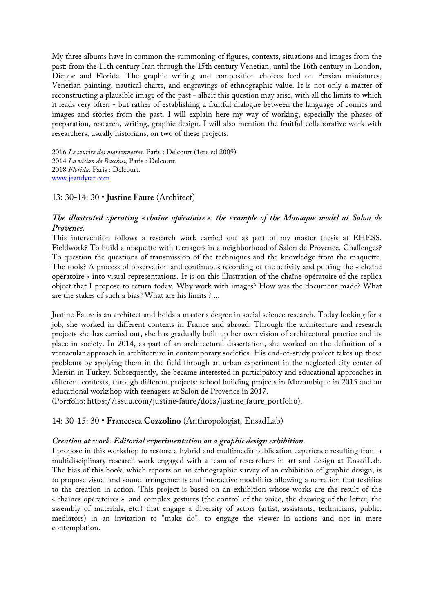My three albums have in common the summoning of figures, contexts, situations and images from the past: from the 11th century Iran through the 15th century Venetian, until the 16th century in London, Dieppe and Florida. The graphic writing and composition choices feed on Persian miniatures, Venetian painting, nautical charts, and engravings of ethnographic value. It is not only a matter of reconstructing a plausible image of the past - albeit this question may arise, with all the limits to which it leads very often - but rather of establishing a fruitful dialogue between the language of comics and images and stories from the past. I will explain here my way of working, especially the phases of preparation, research, writing, graphic design. I will also mention the fruitful collaborative work with researchers, usually historians, on two of these projects.

*Le sourire des marionnettes*. Paris : Delcourt (1ere ed 2009) *La vision de Bacchus*, Paris : Delcourt. *Florida*. Paris : Delcourt. www.jeandytar.com

### 13: 30-14: 30 • **Justine Faure** (Architect)

# *The illustrated operating « chaîne opératoire »: the example of the Monaque model at Salon de Provence.*

This intervention follows a research work carried out as part of my master thesis at EHESS. Fieldwork? To build a maquette with teenagers in a neighborhood of Salon de Provence. Challenges? To question the questions of transmission of the techniques and the knowledge from the maquette. The tools? A process of observation and continuous recording of the activity and putting the « chaîne opératoire » into visual representations. It is on this illustration of the chaîne opératoire of the replica object that I propose to return today. Why work with images? How was the document made? What are the stakes of such a bias? What are his limits ? ...

Justine Faure is an architect and holds a master's degree in social science research. Today looking for a job, she worked in different contexts in France and abroad. Through the architecture and research projects she has carried out, she has gradually built up her own vision of architectural practice and its place in society. In 2014, as part of an architectural dissertation, she worked on the definition of a vernacular approach in architecture in contemporary societies. His end-of-study project takes up these problems by applying them in the field through an urban experiment in the neglected city center of Mersin in Turkey. Subsequently, she became interested in participatory and educational approaches in different contexts, through different projects: school building projects in Mozambique in 2015 and an educational workshop with teenagers at Salon de Provence in 2017.

(Portfolio: https://issuu.com/justine-faure/docs/justine\_faure\_portfolio).

### 14: 30-15: 30 • **Francesca Cozzolino** (Anthropologist, EnsadLab)

### *Creation at work. Editorial experimentation on a graphic design exhibition.*

I propose in this workshop to restore a hybrid and multimedia publication experience resulting from a multidisciplinary research work engaged with a team of researchers in art and design at EnsadLab. The bias of this book, which reports on an ethnographic survey of an exhibition of graphic design, is to propose visual and sound arrangements and interactive modalities allowing a narration that testifies to the creation in action. This project is based on an exhibition whose works are the result of the « chaînes opératoires » and complex gestures (the control of the voice, the drawing of the letter, the assembly of materials, etc.) that engage a diversity of actors (artist, assistants, technicians, public, mediators) in an invitation to "make do", to engage the viewer in actions and not in mere contemplation.